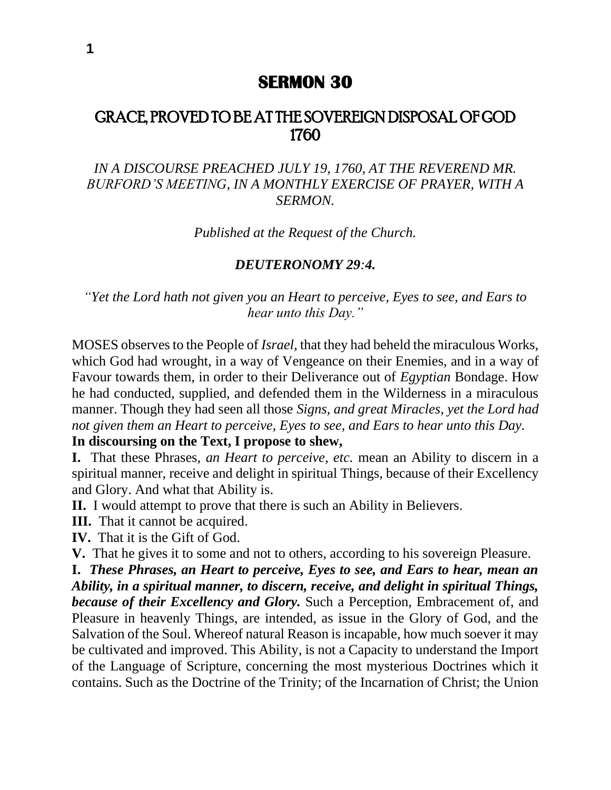## **SERMON 30**

# GRACE, PROVED TO BE AT THE SOVEREIGN DISPOSAL OF GOD 1760

*IN A DISCOURSE PREACHED JULY 19, 1760, AT THE REVEREND MR. BURFORD'S MEETING, IN A MONTHLY EXERCISE OF PRAYER, WITH A SERMON.*

*Published at the Request of the Church.*

#### *DEUTERONOMY 29:4.*

*"Yet the Lord hath not given you an Heart to perceive, Eyes to see, and Ears to hear unto this Day."*

MOSES observes to the People of *Israel,* that they had beheld the miraculous Works, which God had wrought, in a way of Vengeance on their Enemies, and in a way of Favour towards them, in order to their Deliverance out of *Egyptian* Bondage. How he had conducted, supplied, and defended them in the Wilderness in a miraculous manner. Though they had seen all those *Signs, and great Miracles, yet the Lord had not given them an Heart to perceive, Eyes to see, and Ears to hear unto this Day.*

#### **In discoursing on the Text, I propose to shew,**

**I.** That these Phrases, *an Heart to perceive, etc.* mean an Ability to discern in a spiritual manner, receive and delight in spiritual Things, because of their Excellency and Glory. And what that Ability is.

**II.** I would attempt to prove that there is such an Ability in Believers.

**III.** That it cannot be acquired.

**IV.** That it is the Gift of God.

**V.** That he gives it to some and not to others, according to his sovereign Pleasure.

**I.** *These Phrases, an Heart to perceive, Eyes to see, and Ears to hear, mean an Ability, in a spiritual manner, to discern, receive, and delight in spiritual Things, because of their Excellency and Glory.* Such a Perception, Embracement of, and Pleasure in heavenly Things, are intended, as issue in the Glory of God, and the Salvation of the Soul. Whereof natural Reason is incapable, how much soever it may be cultivated and improved. This Ability, is not a Capacity to understand the Import of the Language of Scripture, concerning the most mysterious Doctrines which it contains. Such as the Doctrine of the Trinity; of the Incarnation of Christ; the Union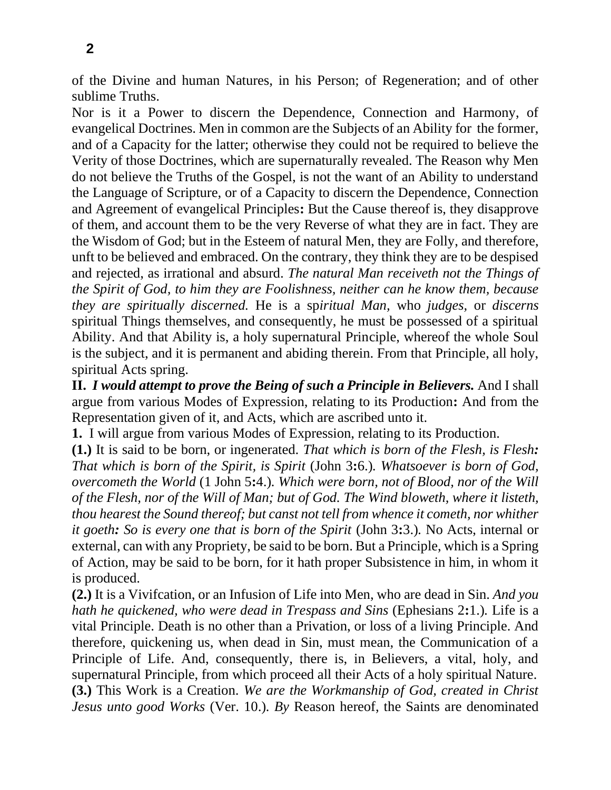of the Divine and human Natures, in his Person; of Regeneration; and of other sublime Truths.

Nor is it a Power to discern the Dependence, Connection and Harmony, of evangelical Doctrines. Men in common are the Subjects of an Ability for the former, and of a Capacity for the latter; otherwise they could not be required to believe the Verity of those Doctrines, which are supernaturally revealed. The Reason why Men do not believe the Truths of the Gospel, is not the want of an Ability to understand the Language of Scripture, or of a Capacity to discern the Dependence, Connection and Agreement of evangelical Principles**:** But the Cause thereof is, they disapprove of them, and account them to be the very Reverse of what they are in fact. They are the Wisdom of God; but in the Esteem of natural Men, they are Folly, and therefore, unft to be believed and embraced. On the contrary, they think they are to be despised and rejected, as irrational and absurd. *The natural Man receiveth not the Things of the Spirit of God, to him they are Foolishness, neither can he know them, because they are spiritually discerned.* He is a sp*iritual Man,* who *judges,* or *discerns*  spiritual Things themselves, and consequently, he must be possessed of a spiritual Ability. And that Ability is, a holy supernatural Principle, whereof the whole Soul is the subject, and it is permanent and abiding therein. From that Principle, all holy, spiritual Acts spring.

**II.** *I would attempt to prove the Being of such a Principle in Believers.* And I shall argue from various Modes of Expression, relating to its Production**:** And from the Representation given of it, and Acts, which are ascribed unto it.

**1.** I will argue from various Modes of Expression, relating to its Production.

**(1.)** It is said to be born, or ingenerated. *That which is born of the Flesh, is Flesh: That which is born of the Spirit, is Spirit* (John 3**:**6.)*. Whatsoever is born of God, overcometh the World* (1 John 5**:**4.)*. Which were born, not of Blood, nor of the Will of the Flesh, nor of the Will of Man; but of God. The Wind bloweth, where it listeth, thou hearest the Sound thereof; but canst not tell from whence it cometh, nor whither it goeth: So is every one that is born of the Spirit* (John 3**:**3.)*.* No Acts, internal or external, can with any Propriety, be said to be born. But a Principle, which is a Spring of Action, may be said to be born, for it hath proper Subsistence in him, in whom it is produced.

**(2.)** It is a Vivifcation, or an Infusion of Life into Men, who are dead in Sin. *And you hath he quickened, who were dead in Trespass and Sins* (Ephesians 2**:**1.)*.* Life is a vital Principle. Death is no other than a Privation, or loss of a living Principle. And therefore, quickening us, when dead in Sin, must mean, the Communication of a Principle of Life. And, consequently, there is, in Believers, a vital, holy, and supernatural Principle, from which proceed all their Acts of a holy spiritual Nature. **(3.)** This Work is a Creation. *We are the Workmanship of God, created in Christ Jesus unto good Works* (Ver. 10.)*. By* Reason hereof, the Saints are denominated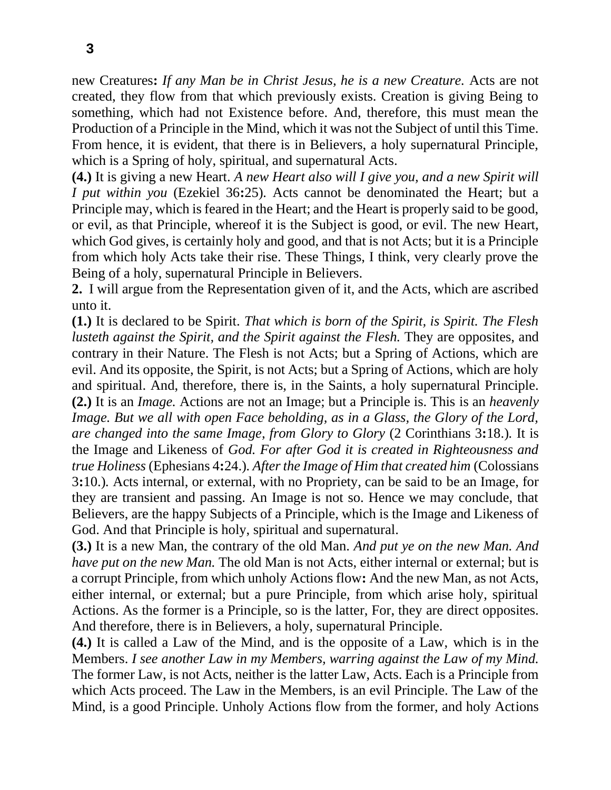new Creatures**:** *If any Man be in Christ Jesus, he is a new Creature.* Acts are not created, they flow from that which previously exists. Creation is giving Being to something, which had not Existence before. And, therefore, this must mean the Production of a Principle in the Mind, which it was not the Subject of until this Time. From hence, it is evident, that there is in Believers, a holy supernatural Principle, which is a Spring of holy, spiritual, and supernatural Acts.

**(4.)** It is giving a new Heart. *A new Heart also will I give you, and a new Spirit will I put within you* (Ezekiel 36**:**25)*.* Acts cannot be denominated the Heart; but a Principle may, which is feared in the Heart; and the Heart is properly said to be good, or evil, as that Principle, whereof it is the Subject is good, or evil. The new Heart, which God gives, is certainly holy and good, and that is not Acts; but it is a Principle from which holy Acts take their rise. These Things, I think, very clearly prove the Being of a holy, supernatural Principle in Believers.

**2.** I will argue from the Representation given of it, and the Acts, which are ascribed unto it.

**(1.)** It is declared to be Spirit. *That which is born of the Spirit, is Spirit. The Flesh lusteth against the Spirit, and the Spirit against the Flesh. They are opposites, and* contrary in their Nature. The Flesh is not Acts; but a Spring of Actions, which are evil. And its opposite, the Spirit, is not Acts; but a Spring of Actions, which are holy and spiritual. And, therefore, there is, in the Saints, a holy supernatural Principle. **(2.)** It is an *Image.* Actions are not an Image; but a Principle is. This is an *heavenly Image. But we all with open Face beholding, as in a Glass, the Glory of the Lord, are changed into the same Image, from Glory to Glory* (2 Corinthians 3**:**18.)*.* It is the Image and Likeness of *God. For after God it is created in Righteousness and true Holiness* (Ephesians 4**:**24.)*. After the Image of Him that created him* (Colossians 3**:**10.)*.* Acts internal, or external, with no Propriety, can be said to be an Image, for they are transient and passing. An Image is not so. Hence we may conclude, that Believers, are the happy Subjects of a Principle, which is the Image and Likeness of God. And that Principle is holy, spiritual and supernatural.

**(3.)** It is a new Man, the contrary of the old Man. *And put ye on the new Man. And have put on the new Man.* The old Man is not Acts, either internal or external; but is a corrupt Principle, from which unholy Actions flow**:** And the new Man, as not Acts, either internal, or external; but a pure Principle, from which arise holy, spiritual Actions. As the former is a Principle, so is the latter, For, they are direct opposites. And therefore, there is in Believers, a holy, supernatural Principle.

**(4.)** It is called a Law of the Mind, and is the opposite of a Law, which is in the Members. *I see another Law in my Members, warring against the Law of my Mind.*  The former Law, is not Acts, neither is the latter Law, Acts. Each is a Principle from which Acts proceed. The Law in the Members, is an evil Principle. The Law of the Mind, is a good Principle. Unholy Actions flow from the former, and holy Actions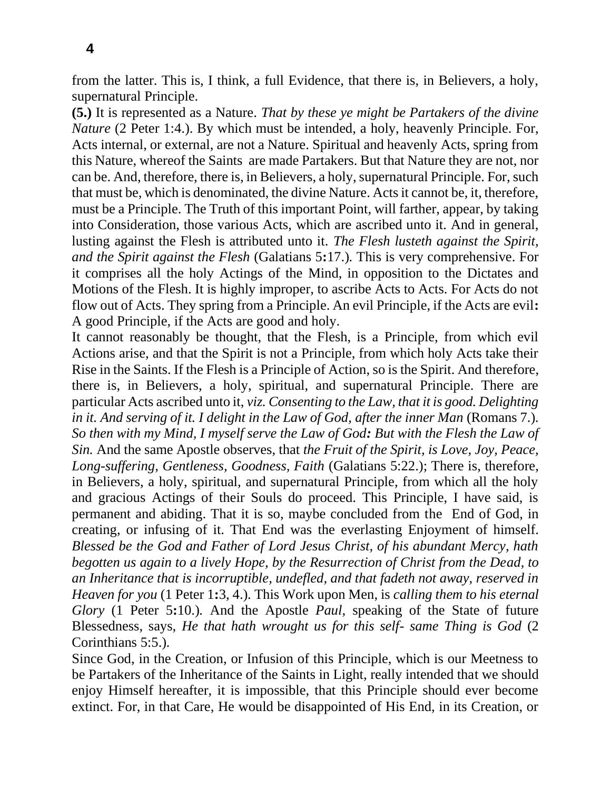from the latter. This is, I think, a full Evidence, that there is, in Believers, a holy, supernatural Principle.

**(5.)** It is represented as a Nature. *That by these ye might be Partakers of the divine Nature* (2 Peter 1:4.). By which must be intended, a holy, heavenly Principle. For, Acts internal, or external, are not a Nature. Spiritual and heavenly Acts, spring from this Nature, whereof the Saints are made Partakers. But that Nature they are not, nor can be. And, therefore, there is, in Believers, a holy, supernatural Principle. For, such that must be, which is denominated, the divine Nature. Acts it cannot be, it, therefore, must be a Principle. The Truth of this important Point, will farther, appear, by taking into Consideration, those various Acts, which are ascribed unto it. And in general, lusting against the Flesh is attributed unto it. *The Flesh lusteth against the Spirit, and the Spirit against the Flesh* (Galatians 5**:**17.)*.* This is very comprehensive. For it comprises all the holy Actings of the Mind, in opposition to the Dictates and Motions of the Flesh. It is highly improper, to ascribe Acts to Acts. For Acts do not flow out of Acts. They spring from a Principle. An evil Principle, if the Acts are evil**:**  A good Principle, if the Acts are good and holy.

It cannot reasonably be thought, that the Flesh, is a Principle, from which evil Actions arise, and that the Spirit is not a Principle, from which holy Acts take their Rise in the Saints. If the Flesh is a Principle of Action, so is the Spirit. And therefore, there is, in Believers, a holy, spiritual, and supernatural Principle. There are particular Acts ascribed unto it, *viz. Consenting to the Law, that it is good. Delighting in it. And serving of it. I delight in the Law of God, after the inner Man* (Romans 7.)*. So then with my Mind, I myself serve the Law of God: But with the Flesh the Law of Sin.* And the same Apostle observes, that *the Fruit of the Spirit, is Love, Joy, Peace, Long-suffering, Gentleness, Goodness, Faith* (Galatians 5:22.); There is, therefore, in Believers, a holy, spiritual, and supernatural Principle, from which all the holy and gracious Actings of their Souls do proceed. This Principle, I have said, is permanent and abiding. That it is so, maybe concluded from the End of God, in creating, or infusing of it. That End was the everlasting Enjoyment of himself. *Blessed be the God and Father of Lord Jesus Christ, of his abundant Mercy, hath begotten us again to a lively Hope, by the Resurrection of Christ from the Dead, to an Inheritance that is incorruptible, undefled, and that fadeth not away, reserved in Heaven for you* (1 Peter 1**:**3, 4.)*.* This Work upon Men, is *calling them to his eternal Glory* (1 Peter 5**:**10.)*.* And the Apostle *Paul,* speaking of the State of future Blessedness, says, *He that hath wrought us for this self- same Thing is God* (2 Corinthians 5:5.)*.*

Since God, in the Creation, or Infusion of this Principle, which is our Meetness to be Partakers of the Inheritance of the Saints in Light, really intended that we should enjoy Himself hereafter, it is impossible, that this Principle should ever become extinct. For, in that Care, He would be disappointed of His End, in its Creation, or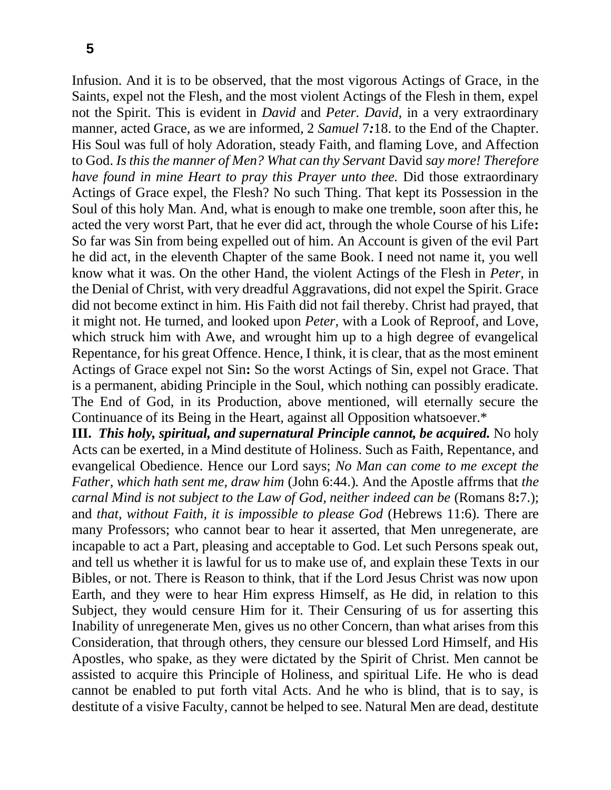Infusion. And it is to be observed, that the most vigorous Actings of Grace, in the Saints, expel not the Flesh, and the most violent Actings of the Flesh in them, expel not the Spirit. This is evident in *David* and *Peter. David,* in a very extraordinary manner, acted Grace, as we are informed, 2 *Samuel* 7:18, to the End of the Chapter. His Soul was full of holy Adoration, steady Faith, and flaming Love, and Affection to God. *Is this the manner of Men? What can thy Servant* David *say more! Therefore have found in mine Heart to pray this Prayer unto thee.* Did those extraordinary Actings of Grace expel, the Flesh? No such Thing. That kept its Possession in the Soul of this holy Man. And, what is enough to make one tremble, soon after this, he acted the very worst Part, that he ever did act, through the whole Course of his Life**:**  So far was Sin from being expelled out of him. An Account is given of the evil Part he did act, in the eleventh Chapter of the same Book. I need not name it, you well know what it was. On the other Hand, the violent Actings of the Flesh in *Peter,* in the Denial of Christ, with very dreadful Aggravations, did not expel the Spirit. Grace did not become extinct in him. His Faith did not fail thereby. Christ had prayed, that it might not. He turned, and looked upon *Peter,* with a Look of Reproof, and Love, which struck him with Awe, and wrought him up to a high degree of evangelical Repentance, for his great Offence. Hence, I think, it is clear, that as the most eminent Actings of Grace expel not Sin**:** So the worst Actings of Sin, expel not Grace. That is a permanent, abiding Principle in the Soul, which nothing can possibly eradicate. The End of God, in its Production, above mentioned, will eternally secure the Continuance of its Being in the Heart, against all Opposition whatsoever.\*

**III.** *This holy, spiritual, and supernatural Principle cannot, be acquired.* No holy Acts can be exerted, in a Mind destitute of Holiness. Such as Faith, Repentance, and evangelical Obedience. Hence our Lord says; *No Man can come to me except the Father, which hath sent me, draw him* (John 6:44.)*.* And the Apostle affrms that *the carnal Mind is not subject to the Law of God, neither indeed can be* (Romans 8**:**7.); and *that, without Faith, it is impossible to please God* (Hebrews 11:6)*.* There are many Professors; who cannot bear to hear it asserted, that Men unregenerate, are incapable to act a Part, pleasing and acceptable to God. Let such Persons speak out, and tell us whether it is lawful for us to make use of, and explain these Texts in our Bibles, or not. There is Reason to think, that if the Lord Jesus Christ was now upon Earth, and they were to hear Him express Himself, as He did, in relation to this Subject, they would censure Him for it. Their Censuring of us for asserting this Inability of unregenerate Men, gives us no other Concern, than what arises from this Consideration, that through others, they censure our blessed Lord Himself, and His Apostles, who spake, as they were dictated by the Spirit of Christ. Men cannot be assisted to acquire this Principle of Holiness, and spiritual Life. He who is dead cannot be enabled to put forth vital Acts. And he who is blind, that is to say, is destitute of a visive Faculty, cannot be helped to see. Natural Men are dead, destitute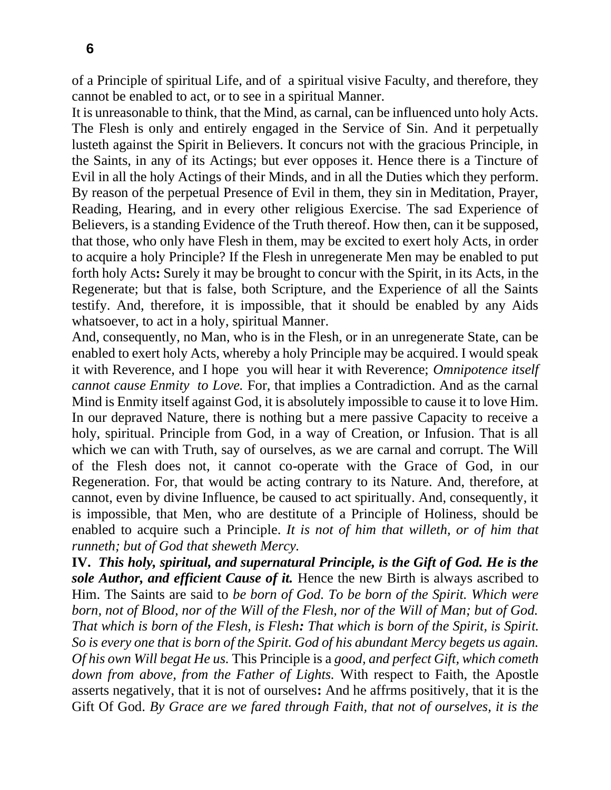of a Principle of spiritual Life, and of a spiritual visive Faculty, and therefore, they cannot be enabled to act, or to see in a spiritual Manner.

It is unreasonable to think, that the Mind, as carnal, can be influenced unto holy Acts. The Flesh is only and entirely engaged in the Service of Sin. And it perpetually lusteth against the Spirit in Believers. It concurs not with the gracious Principle, in the Saints, in any of its Actings; but ever opposes it. Hence there is a Tincture of Evil in all the holy Actings of their Minds, and in all the Duties which they perform. By reason of the perpetual Presence of Evil in them, they sin in Meditation, Prayer, Reading, Hearing, and in every other religious Exercise. The sad Experience of Believers, is a standing Evidence of the Truth thereof. How then, can it be supposed, that those, who only have Flesh in them, may be excited to exert holy Acts, in order to acquire a holy Principle? If the Flesh in unregenerate Men may be enabled to put forth holy Acts**:** Surely it may be brought to concur with the Spirit, in its Acts, in the Regenerate; but that is false, both Scripture, and the Experience of all the Saints testify. And, therefore, it is impossible, that it should be enabled by any Aids whatsoever, to act in a holy, spiritual Manner.

And, consequently, no Man, who is in the Flesh, or in an unregenerate State, can be enabled to exert holy Acts, whereby a holy Principle may be acquired. I would speak it with Reverence, and I hope you will hear it with Reverence; *Omnipotence itself cannot cause Enmity to Love.* For, that implies a Contradiction. And as the carnal Mind is Enmity itself against God, it is absolutely impossible to cause it to love Him. In our depraved Nature, there is nothing but a mere passive Capacity to receive a holy, spiritual. Principle from God, in a way of Creation, or Infusion. That is all which we can with Truth, say of ourselves, as we are carnal and corrupt. The Will of the Flesh does not, it cannot co-operate with the Grace of God, in our Regeneration. For, that would be acting contrary to its Nature. And, therefore, at cannot, even by divine Influence, be caused to act spiritually. And, consequently, it is impossible, that Men, who are destitute of a Principle of Holiness, should be enabled to acquire such a Principle. *It is not of him that willeth, or of him that runneth; but of God that sheweth Mercy.*

**IV.** *This holy, spiritual, and supernatural Principle, is the Gift of God. He is the sole Author, and efficient Cause of it.* Hence the new Birth is always ascribed to Him. The Saints are said to *be born of God. To be born of the Spirit. Which were born, not of Blood, nor of the Will of the Flesh, nor of the Will of Man; but of God. That which is born of the Flesh, is Flesh: That which is born of the Spirit, is Spirit. So is every one that is born of the Spirit. God of his abundant Mercy begets us again. Of his own Will begat He us.* This Principle is a *good, and perfect Gift, which cometh down from above, from the Father of Lights.* With respect to Faith, the Apostle asserts negatively, that it is not of ourselves**:** And he affrms positively, that it is the Gift Of God. *By Grace are we fared through Faith, that not of ourselves, it is the*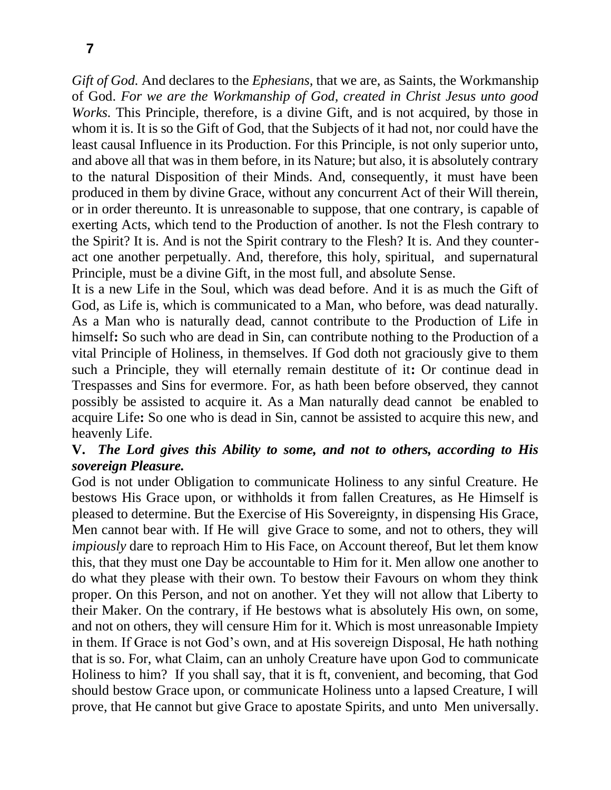*Gift of God.* And declares to the *Ephesians,* that we are, as Saints, the Workmanship of God. *For we are the Workmanship of God, created in Christ Jesus unto good Works.* This Principle, therefore, is a divine Gift, and is not acquired, by those in whom it is. It is so the Gift of God, that the Subjects of it had not, nor could have the least causal Influence in its Production. For this Principle, is not only superior unto, and above all that was in them before, in its Nature; but also, it is absolutely contrary to the natural Disposition of their Minds. And, consequently, it must have been produced in them by divine Grace, without any concurrent Act of their Will therein, or in order thereunto. It is unreasonable to suppose, that one contrary, is capable of exerting Acts, which tend to the Production of another. Is not the Flesh contrary to the Spirit? It is. And is not the Spirit contrary to the Flesh? It is. And they counteract one another perpetually. And, therefore, this holy, spiritual, and supernatural Principle, must be a divine Gift, in the most full, and absolute Sense.

It is a new Life in the Soul, which was dead before. And it is as much the Gift of God, as Life is, which is communicated to a Man, who before, was dead naturally. As a Man who is naturally dead, cannot contribute to the Production of Life in himself**:** So such who are dead in Sin, can contribute nothing to the Production of a vital Principle of Holiness, in themselves. If God doth not graciously give to them such a Principle, they will eternally remain destitute of it**:** Or continue dead in Trespasses and Sins for evermore. For, as hath been before observed, they cannot possibly be assisted to acquire it. As a Man naturally dead cannot be enabled to acquire Life**:** So one who is dead in Sin, cannot be assisted to acquire this new, and heavenly Life.

## **V.** *The Lord gives this Ability to some, and not to others, according to His sovereign Pleasure.*

God is not under Obligation to communicate Holiness to any sinful Creature. He bestows His Grace upon, or withholds it from fallen Creatures, as He Himself is pleased to determine. But the Exercise of His Sovereignty, in dispensing His Grace, Men cannot bear with. If He will give Grace to some, and not to others, they will *impiously* dare to reproach Him to His Face, on Account thereof, But let them know this, that they must one Day be accountable to Him for it. Men allow one another to do what they please with their own. To bestow their Favours on whom they think proper. On this Person, and not on another. Yet they will not allow that Liberty to their Maker. On the contrary, if He bestows what is absolutely His own, on some, and not on others, they will censure Him for it. Which is most unreasonable Impiety in them. If Grace is not God's own, and at His sovereign Disposal, He hath nothing that is so. For, what Claim, can an unholy Creature have upon God to communicate Holiness to him? If you shall say, that it is ft, convenient, and becoming, that God should bestow Grace upon, or communicate Holiness unto a lapsed Creature, I will prove, that He cannot but give Grace to apostate Spirits, and unto Men universally.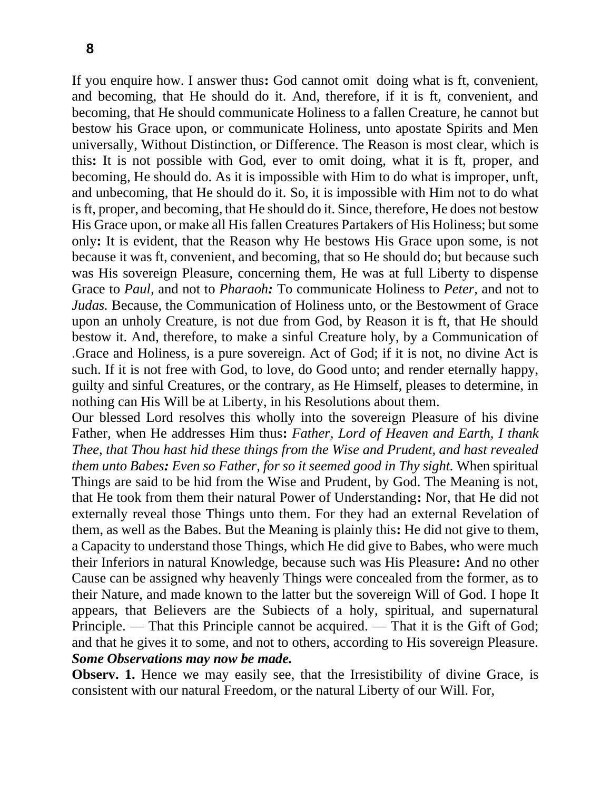If you enquire how. I answer thus**:** God cannot omit doing what is ft, convenient, and becoming, that He should do it. And, therefore, if it is ft, convenient, and becoming, that He should communicate Holiness to a fallen Creature, he cannot but bestow his Grace upon, or communicate Holiness, unto apostate Spirits and Men universally, Without Distinction, or Difference. The Reason is most clear, which is this**:** It is not possible with God, ever to omit doing, what it is ft, proper, and becoming, He should do. As it is impossible with Him to do what is improper, unft, and unbecoming, that He should do it. So, it is impossible with Him not to do what is ft, proper, and becoming, that He should do it. Since, therefore, He does not bestow His Grace upon, or make all His fallen Creatures Partakers of His Holiness; but some only**:** It is evident, that the Reason why He bestows His Grace upon some, is not because it was ft, convenient, and becoming, that so He should do; but because such was His sovereign Pleasure, concerning them, He was at full Liberty to dispense Grace to *Paul,* and not to *Pharaoh:* To communicate Holiness to *Peter,* and not to *Judas.* Because, the Communication of Holiness unto, or the Bestowment of Grace upon an unholy Creature, is not due from God, by Reason it is ft, that He should bestow it. And, therefore, to make a sinful Creature holy, by a Communication of .Grace and Holiness, is a pure sovereign. Act of God; if it is not, no divine Act is such. If it is not free with God, to love, do Good unto; and render eternally happy, guilty and sinful Creatures, or the contrary, as He Himself, pleases to determine, in nothing can His Will be at Liberty, in his Resolutions about them.

Our blessed Lord resolves this wholly into the sovereign Pleasure of his divine Father, when He addresses Him thus**:** *Father, Lord of Heaven and Earth, I thank Thee, that Thou hast hid these things from the Wise and Prudent, and hast revealed them unto Babes: Even so Father, for so it seemed good in Thy sight.* When spiritual Things are said to be hid from the Wise and Prudent, by God. The Meaning is not, that He took from them their natural Power of Understanding**:** Nor, that He did not externally reveal those Things unto them. For they had an external Revelation of them, as well as the Babes. But the Meaning is plainly this**:** He did not give to them, a Capacity to understand those Things, which He did give to Babes, who were much their Inferiors in natural Knowledge, because such was His Pleasure**:** And no other Cause can be assigned why heavenly Things were concealed from the former, as to their Nature, and made known to the latter but the sovereign Will of God. I hope It appears, that Believers are the Subiects of a holy, spiritual, and supernatural Principle. — That this Principle cannot be acquired. — That it is the Gift of God; and that he gives it to some, and not to others, according to His sovereign Pleasure. *Some Observations may now be made.*

**Observ. 1.** Hence we may easily see, that the Irresistibility of divine Grace, is consistent with our natural Freedom, or the natural Liberty of our Will. For,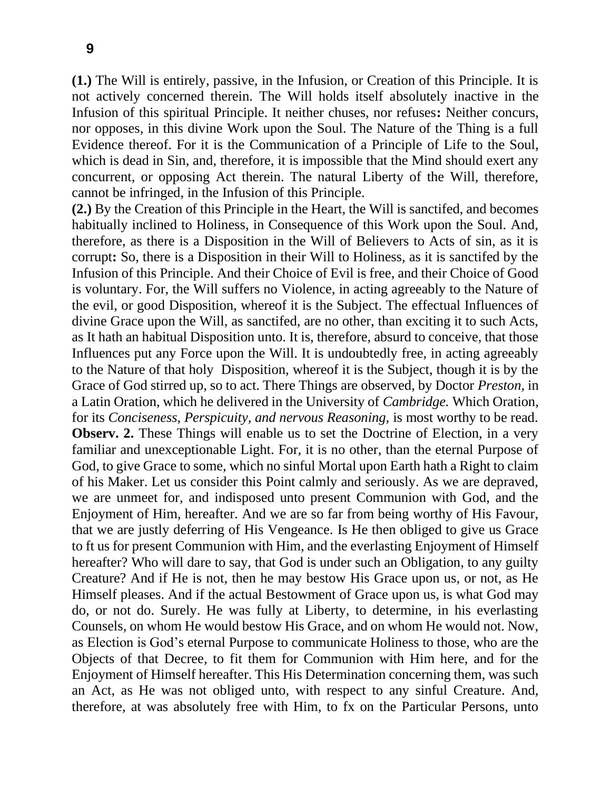**(1.)** The Will is entirely, passive, in the Infusion, or Creation of this Principle. It is not actively concerned therein. The Will holds itself absolutely inactive in the Infusion of this spiritual Principle. It neither chuses, nor refuses**:** Neither concurs, nor opposes, in this divine Work upon the Soul. The Nature of the Thing is a full Evidence thereof. For it is the Communication of a Principle of Life to the Soul, which is dead in Sin, and, therefore, it is impossible that the Mind should exert any concurrent, or opposing Act therein. The natural Liberty of the Will, therefore, cannot be infringed, in the Infusion of this Principle.

**(2.)** By the Creation of this Principle in the Heart, the Will is sanctifed, and becomes habitually inclined to Holiness, in Consequence of this Work upon the Soul. And, therefore, as there is a Disposition in the Will of Believers to Acts of sin, as it is corrupt**:** So, there is a Disposition in their Will to Holiness, as it is sanctifed by the Infusion of this Principle. And their Choice of Evil is free, and their Choice of Good is voluntary. For, the Will suffers no Violence, in acting agreeably to the Nature of the evil, or good Disposition, whereof it is the Subject. The effectual Influences of divine Grace upon the Will, as sanctifed, are no other, than exciting it to such Acts, as It hath an habitual Disposition unto. It is, therefore, absurd to conceive, that those Influences put any Force upon the Will. It is undoubtedly free, in acting agreeably to the Nature of that holy Disposition, whereof it is the Subject, though it is by the Grace of God stirred up, so to act. There Things are observed, by Doctor *Preston,* in a Latin Oration, which he delivered in the University of *Cambridge.* Which Oration, for its *Conciseness, Perspicuity, and nervous Reasoning,* is most worthy to be read. **Observ. 2.** These Things will enable us to set the Doctrine of Election, in a very familiar and unexceptionable Light. For, it is no other, than the eternal Purpose of God, to give Grace to some, which no sinful Mortal upon Earth hath a Right to claim of his Maker. Let us consider this Point calmly and seriously. As we are depraved, we are unmeet for, and indisposed unto present Communion with God, and the Enjoyment of Him, hereafter. And we are so far from being worthy of His Favour, that we are justly deferring of His Vengeance. Is He then obliged to give us Grace to ft us for present Communion with Him, and the everlasting Enjoyment of Himself hereafter? Who will dare to say, that God is under such an Obligation, to any guilty Creature? And if He is not, then he may bestow His Grace upon us, or not, as He Himself pleases. And if the actual Bestowment of Grace upon us, is what God may do, or not do. Surely. He was fully at Liberty, to determine, in his everlasting Counsels, on whom He would bestow His Grace, and on whom He would not. Now, as Election is God's eternal Purpose to communicate Holiness to those, who are the Objects of that Decree, to fit them for Communion with Him here, and for the Enjoyment of Himself hereafter. This His Determination concerning them, was such an Act, as He was not obliged unto, with respect to any sinful Creature. And, therefore, at was absolutely free with Him, to fx on the Particular Persons, unto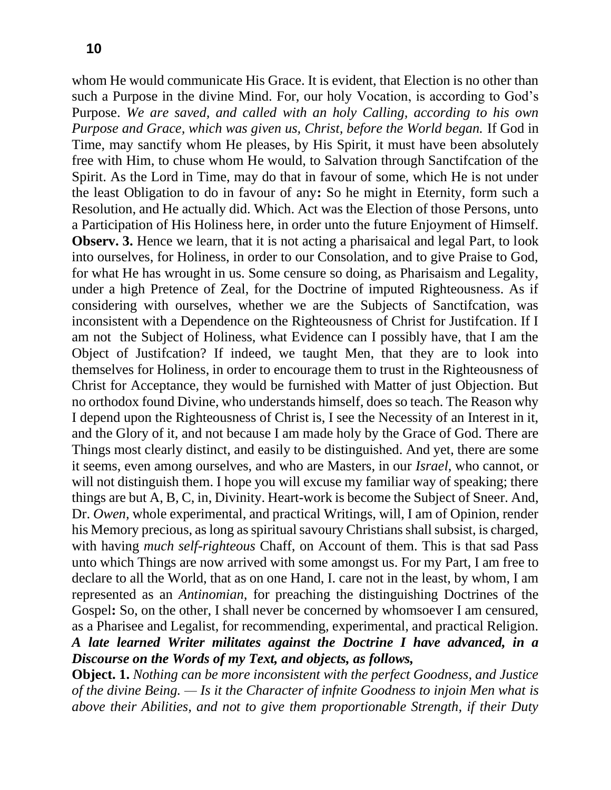whom He would communicate His Grace. It is evident, that Election is no other than such a Purpose in the divine Mind. For, our holy Vocation, is according to God's Purpose. *We are saved, and called with an holy Calling, according to his own Purpose and Grace, which was given us, Christ, before the World began.* If God in Time, may sanctify whom He pleases, by His Spirit, it must have been absolutely free with Him, to chuse whom He would, to Salvation through Sanctifcation of the Spirit. As the Lord in Time, may do that in favour of some, which He is not under the least Obligation to do in favour of any**:** So he might in Eternity, form such a Resolution, and He actually did. Which. Act was the Election of those Persons, unto a Participation of His Holiness here, in order unto the future Enjoyment of Himself. **Observ. 3.** Hence we learn, that it is not acting a pharisaical and legal Part, to look into ourselves, for Holiness, in order to our Consolation, and to give Praise to God, for what He has wrought in us. Some censure so doing, as Pharisaism and Legality, under a high Pretence of Zeal, for the Doctrine of imputed Righteousness. As if considering with ourselves, whether we are the Subjects of Sanctifcation, was inconsistent with a Dependence on the Righteousness of Christ for Justifcation. If I am not the Subject of Holiness, what Evidence can I possibly have, that I am the Object of Justifcation? If indeed, we taught Men, that they are to look into themselves for Holiness, in order to encourage them to trust in the Righteousness of Christ for Acceptance, they would be furnished with Matter of just Objection. But no orthodox found Divine, who understands himself, does so teach. The Reason why I depend upon the Righteousness of Christ is, I see the Necessity of an Interest in it, and the Glory of it, and not because I am made holy by the Grace of God. There are Things most clearly distinct, and easily to be distinguished. And yet, there are some it seems, even among ourselves, and who are Masters, in our *Israel,* who cannot, or will not distinguish them. I hope you will excuse my familiar way of speaking; there things are but A, B, C, in, Divinity. Heart-work is become the Subject of Sneer. And, Dr. *Owen,* whole experimental, and practical Writings, will, I am of Opinion, render his Memory precious, as long as spiritual savoury Christians shall subsist, is charged, with having *much self-righteous* Chaff, on Account of them. This is that sad Pass unto which Things are now arrived with some amongst us. For my Part, I am free to declare to all the World, that as on one Hand, I. care not in the least, by whom, I am represented as an *Antinomian,* for preaching the distinguishing Doctrines of the Gospel**:** So, on the other, I shall never be concerned by whomsoever I am censured, as a Pharisee and Legalist, for recommending, experimental, and practical Religion. *A late learned Writer militates against the Doctrine I have advanced, in a Discourse on the Words of my Text, and objects, as follows,* 

**Object. 1.** *Nothing can be more inconsistent with the perfect Goodness, and Justice of the divine Being. — Is it the Character of infnite Goodness to injoin Men what is above their Abilities, and not to give them proportionable Strength, if their Duty*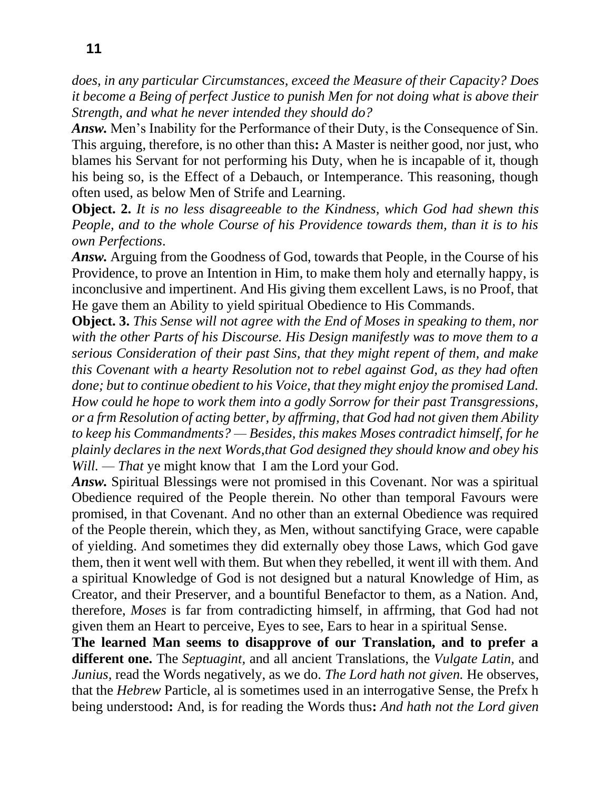*does, in any particular Circumstances, exceed the Measure of their Capacity? Does it become a Being of perfect Justice to punish Men for not doing what is above their Strength, and what he never intended they should do?*

*Answ.* Men's Inability for the Performance of their Duty, is the Consequence of Sin. This arguing, therefore, is no other than this**:** A Master is neither good, nor just, who blames his Servant for not performing his Duty, when he is incapable of it, though his being so, is the Effect of a Debauch, or Intemperance. This reasoning, though often used, as below Men of Strife and Learning.

**Object. 2.** *It is no less disagreeable to the Kindness, which God had shewn this People, and to the whole Course of his Providence towards them, than it is to his own Perfections*.

*Answ.* Arguing from the Goodness of God, towards that People, in the Course of his Providence, to prove an Intention in Him, to make them holy and eternally happy, is inconclusive and impertinent. And His giving them excellent Laws, is no Proof, that He gave them an Ability to yield spiritual Obedience to His Commands.

**Object. 3.** *This Sense will not agree with the End of Moses in speaking to them, nor with the other Parts of his Discourse. His Design manifestly was to move them to a serious Consideration of their past Sins, that they might repent of them, and make this Covenant with a hearty Resolution not to rebel against God, as they had often done; but to continue obedient to his Voice, that they might enjoy the promised Land. How could he hope to work them into a godly Sorrow for their past Transgressions, or a frm Resolution of acting better, by affrming, that God had not given them Ability to keep his Commandments? — Besides, this makes Moses contradict himself, for he plainly declares in the next Words,that God designed they should know and obey his Will. — That* ye might know that I am the Lord your God.

*Answ.* Spiritual Blessings were not promised in this Covenant. Nor was a spiritual Obedience required of the People therein. No other than temporal Favours were promised, in that Covenant. And no other than an external Obedience was required of the People therein, which they, as Men, without sanctifying Grace, were capable of yielding. And sometimes they did externally obey those Laws, which God gave them, then it went well with them. But when they rebelled, it went ill with them. And a spiritual Knowledge of God is not designed but a natural Knowledge of Him, as Creator, and their Preserver, and a bountiful Benefactor to them, as a Nation. And, therefore, *Moses* is far from contradicting himself, in affrming, that God had not given them an Heart to perceive, Eyes to see, Ears to hear in a spiritual Sense.

**The learned Man seems to disapprove of our Translation, and to prefer a different one.** The *Septuagint,* and all ancient Translations, the *Vulgate Latin,* and *Junius,* read the Words negatively, as we do. *The Lord hath not given.* He observes, that the *Hebrew* Particle, al is sometimes used in an interrogative Sense, the Prefx h being understood**:** And, is for reading the Words thus**:** *And hath not the Lord given*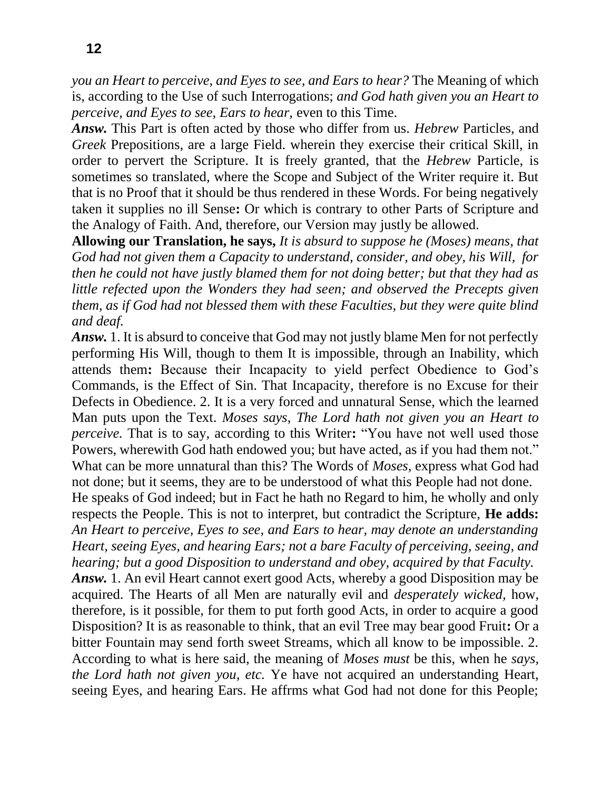*you an Heart to perceive, and Eyes to see, and Ears to hear?* The Meaning of which is, according to the Use of such Interrogations; *and God hath given you an Heart to perceive, and Eyes to see, Ears to hear,* even to this Time.

*Answ.* This Part is often acted by those who differ from us. *Hebrew* Particles, and *Greek* Prepositions, are a large Field. wherein they exercise their critical Skill, in order to pervert the Scripture. It is freely granted, that the *Hebrew* Particle, is sometimes so translated, where the Scope and Subject of the Writer require it. But that is no Proof that it should be thus rendered in these Words. For being negatively taken it supplies no ill Sense**:** Or which is contrary to other Parts of Scripture and the Analogy of Faith. And, therefore, our Version may justly be allowed.

**Allowing our Translation, he says,** *It is absurd to suppose he (Moses) means, that God had not given them a Capacity to understand, consider, and obey, his Will, for then he could not have justly blamed them for not doing better; but that they had as little refected upon the Wonders they had seen; and observed the Precepts given them, as if God had not blessed them with these Faculties, but they were quite blind and deaf.*

*Answ.* 1. It is absurd to conceive that God may not justly blame Men for not perfectly performing His Will, though to them It is impossible, through an Inability, which attends them**:** Because their Incapacity to yield perfect Obedience to God's Commands, is the Effect of Sin. That Incapacity, therefore is no Excuse for their Defects in Obedience. 2. It is a very forced and unnatural Sense, which the learned Man puts upon the Text. *Moses says*, *The Lord hath not given you an Heart to perceive.* That is to say, according to this Writer: "You have not well used those Powers, wherewith God hath endowed you; but have acted, as if you had them not." What can be more unnatural than this? The Words of *Moses,* express what God had not done; but it seems, they are to be understood of what this People had not done.

He speaks of God indeed; but in Fact he hath no Regard to him, he wholly and only respects the People. This is not to interpret, but contradict the Scripture, **He adds:** *An Heart to perceive, Eyes to see, and Ears to hear, may denote an understanding Heart, seeing Eyes, and hearing Ears; not a bare Faculty of perceiving, seeing, and hearing; but a good Disposition to understand and obey, acquired by that Faculty.*

*Answ.* 1. An evil Heart cannot exert good Acts, whereby a good Disposition may be acquired. The Hearts of all Men are naturally evil and *desperately wicked,* how, therefore, is it possible, for them to put forth good Acts, in order to acquire a good Disposition? It is as reasonable to think, that an evil Tree may bear good Fruit**:** Or a bitter Fountain may send forth sweet Streams, which all know to be impossible. 2. According to what is here said, the meaning of *Moses must* be this, when he *says, the Lord hath not given you, etc.* Ye have not acquired an understanding Heart, seeing Eyes, and hearing Ears. He affrms what God had not done for this People;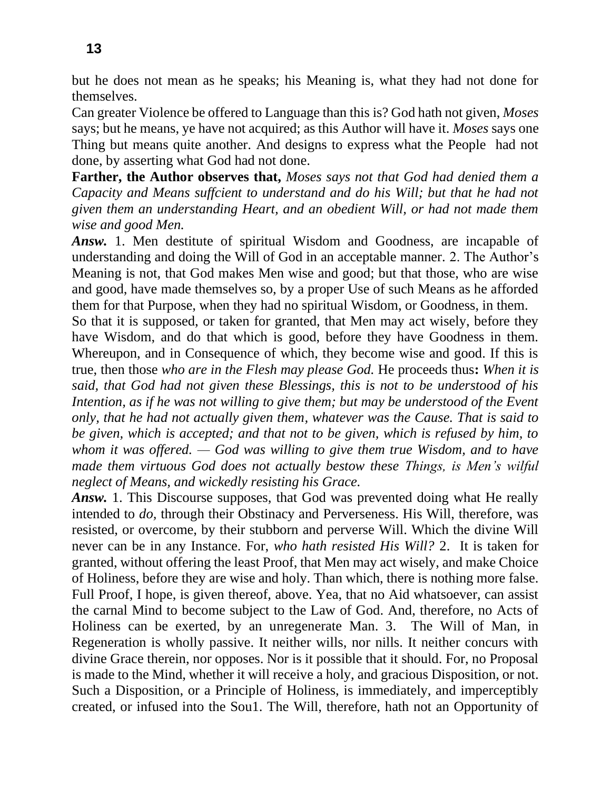but he does not mean as he speaks; his Meaning is, what they had not done for themselves.

Can greater Violence be offered to Language than this is? God hath not given, *Moses*  says; but he means, ye have not acquired; as this Author will have it. *Moses* says one Thing but means quite another. And designs to express what the People had not done, by asserting what God had not done.

**Farther, the Author observes that,** *Moses says not that God had denied them a Capacity and Means suffcient to understand and do his Will; but that he had not given them an understanding Heart, and an obedient Will, or had not made them wise and good Men.*

Answ. 1. Men destitute of spiritual Wisdom and Goodness, are incapable of understanding and doing the Will of God in an acceptable manner. 2. The Author's Meaning is not, that God makes Men wise and good; but that those, who are wise and good, have made themselves so, by a proper Use of such Means as he afforded them for that Purpose, when they had no spiritual Wisdom, or Goodness, in them.

So that it is supposed, or taken for granted, that Men may act wisely, before they have Wisdom, and do that which is good, before they have Goodness in them. Whereupon, and in Consequence of which, they become wise and good. If this is true, then those *who are in the Flesh may please God.* He proceeds thus**:** *When it is said, that God had not given these Blessings, this is not to be understood of his Intention, as if he was not willing to give them; but may be understood of the Event only, that he had not actually given them, whatever was the Cause. That is said to be given, which is accepted; and that not to be given, which is refused by him, to whom it was offered. — God was willing to give them true Wisdom, and to have made them virtuous God does not actually bestow these Things, is Men's wilful neglect of Means, and wickedly resisting his Grace.*

*Answ.* 1. This Discourse supposes, that God was prevented doing what He really intended to *do,* through their Obstinacy and Perverseness. His Will, therefore, was resisted, or overcome, by their stubborn and perverse Will. Which the divine Will never can be in any Instance. For, *who hath resisted His Will?* 2. It is taken for granted, without offering the least Proof, that Men may act wisely, and make Choice of Holiness, before they are wise and holy. Than which, there is nothing more false. Full Proof, I hope, is given thereof, above. Yea, that no Aid whatsoever, can assist the carnal Mind to become subject to the Law of God. And, therefore, no Acts of Holiness can be exerted, by an unregenerate Man. 3. The Will of Man, in Regeneration is wholly passive. It neither wills, nor nills. It neither concurs with divine Grace therein, nor opposes. Nor is it possible that it should. For, no Proposal is made to the Mind, whether it will receive a holy, and gracious Disposition, or not. Such a Disposition, or a Principle of Holiness, is immediately, and imperceptibly created, or infused into the Sou1. The Will, therefore, hath not an Opportunity of